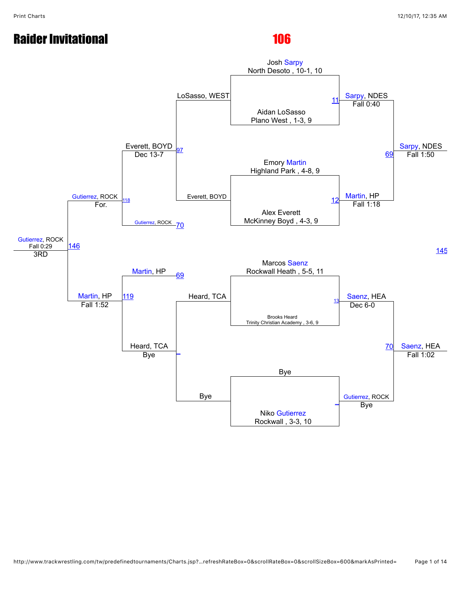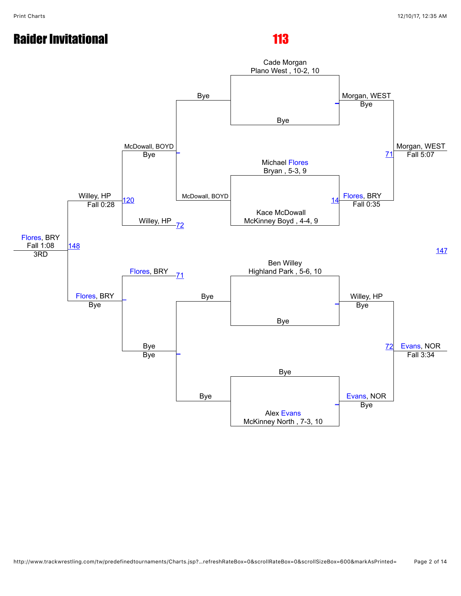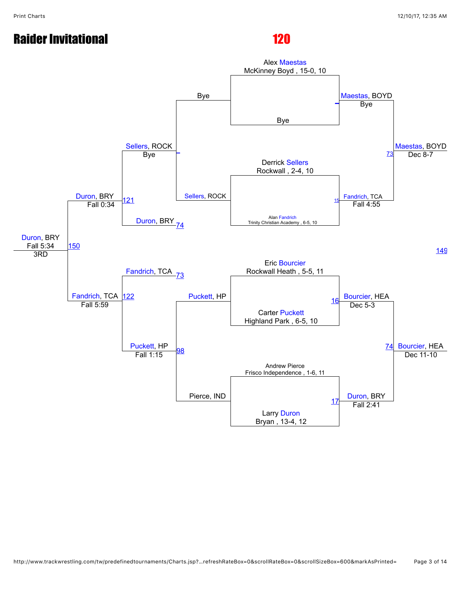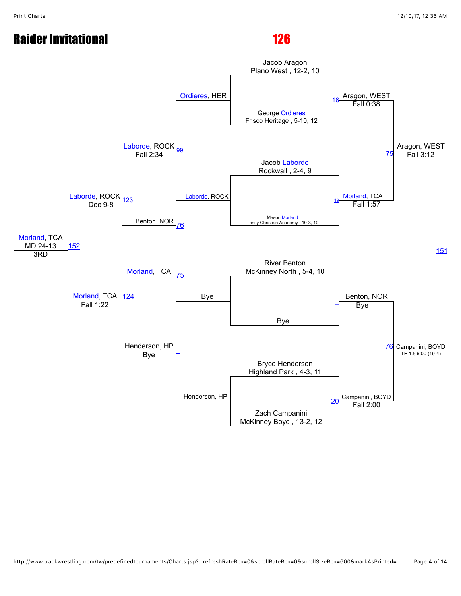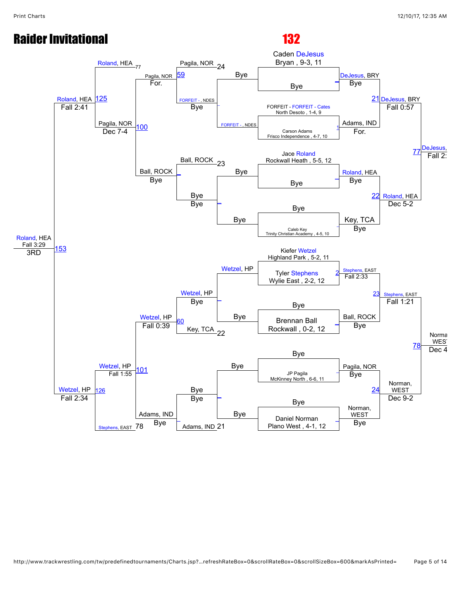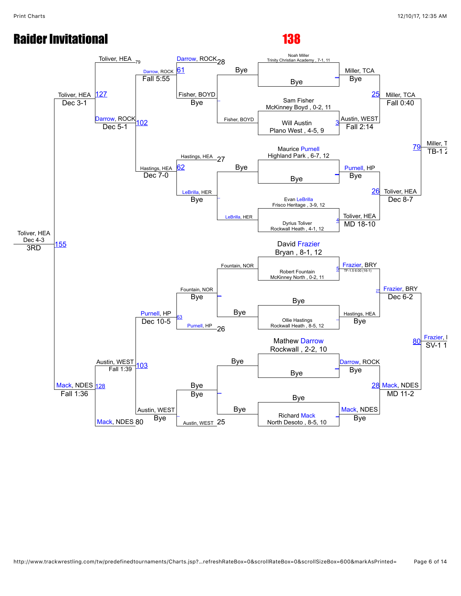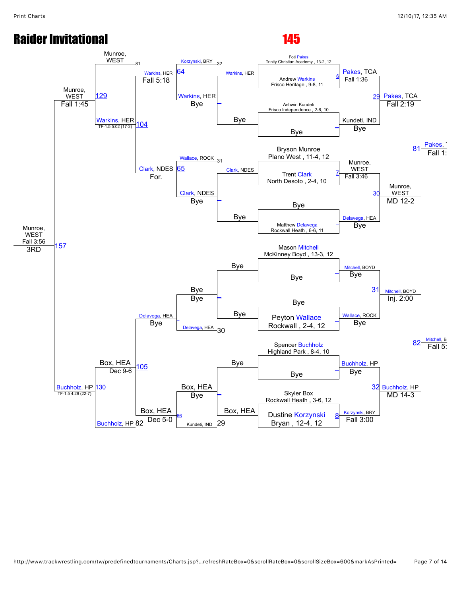### Munroe, WEST Fall 3:56 Munroe, WEST Munroe, WEST [Warkins](javascript:viewProfile(777443096)), HER [Korzynski,](javascript:viewProfile(1414634096)) BRY 32 [Warkins,](javascript:viewProfile(777443096)) HER Foti [Pakes](javascript:viewProfile(543383096))<br>Trinity Christian Academy , 13-2, 12 [Pakes,](javascript:viewProfile(543383096)) TCA [Pakes](javascript:viewProfile(543383096)), TCA [Pakes](javascript:viewProfile(543383096)) [129](javascript:openBoutSheet(25,) **34** Andrew [Warkins](javascript:viewProfile(777443096)) Frisco Heritage , 9-8, 11 [6](javascript:openBoutSheet(1,) Fall 5:18 [Warkins](javascript:viewProfile(777443096)), HER Bye Fall 1:36 [29](javascript:openBoutSheet(9,) Ashwin Kundeti Frisco Independence , 2-6, 10 Fall 1:45 [Warkins,](javascript:viewProfile(777443096)) HER<br>TE-15502 (17-2) [104](javascript:openBoutSheet(23,) Bye Kundeti, IND Fall 2:19 Bye  $TF-1.55:02(17-2)$ [Wallace,](javascript:viewProfile(1098516096)) ROCK 31 Bye Bryson Munroe [81](javascript:openBoutSheet(17,) Plano West , 11-4, 12 [Clark](javascript:viewProfile(652474096)), NDES [Clark,](javascript:viewProfile(652474096)) NDES Munroe, WEST Fall 1: [65](javascript:openBoutSheet(19,) Trent [Clark](javascript:viewProfile(652474096)) For. The Clark, North Desoto , 2-4, 10 [Clark,](javascript:viewProfile(652474096)) NDES<br>Bye Bye Fall 3:46 [30](javascript:openBoutSheet(11,) Munroe, WEST Bye Bye [Delavega,](javascript:viewProfile(1552812096)) HEA MD 12-2 Matthew [Delavega](javascript:viewProfile(1552812096)) Rockwall Heath , 6-6, 11 [\\_](javascript:openBoutSheet(4,) Bye Bye **[157](javascript:openBoutSheet(27,)** Mason [Mitchell](javascript:viewProfile(74994009)) McKinney Boyd , 13-3, 12 3RD Bye [Mitchell](javascript:viewProfile(74994009)), BOYD [Mitchell](javascript:viewProfile(74994009)), BOYD **[Buchholz,](javascript:viewProfile(1104843096)) HP**<br>TF-1.5 4:29 (22-7) Box, HEA elavega, HEA Bye  $\overline{a}$  $\overline{\phantom{a}}$ Bye Bye [31](javascript:openBoutSheet(13,) Bye Bye [Wallace,](javascript:viewProfile(1098516096)) ROCK Inj. 2:00 [Mitchell](javascript:viewProfile(74994009)), B  $\mathbb{R}$ [Delavega](javascript:viewProfile(1552812096)), HEA 30  $\begin{array}{c|c|c|c|c} \hline \text{vega, HEA} & \hline & \text{Dye} & \text{Peyton Wallace} \ \hline \text{Bye} & & \text{Peyton will 2-4, 12} \ \hline \end{array}$  $\begin{array}{c|c|c|c|c} \hline \text{vega, HEA} & \hline & \text{Dye} & \text{Peyton Wallace} \ \hline \text{Bye} & & \text{Peyton will 2-4, 12} \ \hline \end{array}$  $\begin{array}{c|c|c|c|c} \hline \text{vega, HEA} & \hline & \text{Dye} & \text{Peyton Wallace} \ \hline \text{Bye} & & \text{Peyton will 2-4, 12} \ \hline \end{array}$ Rockwall , 2-4, 12 Bye [82](javascript:openBoutSheet(20,) Box, HEA Spencer [Buchholz](javascript:viewProfile(1104843096)) Highland Park , 8-4, 10 [105](javascript:openBoutSheet(24,) Bye Bye [Buchholz,](javascript:viewProfile(1104843096)) HP Fall 5: Bye  $\overline{a}$ [130](javascript:openBoutSheet(26,) Dec 9-6  $\overline{\phantom{a}}$ Box, HEA Bye [32](javascript:openBoutSheet(15,) [Buchholz,](javascript:viewProfile(1104843096)) HP Skyler Box Rockwall Heath , 3-6, 12 [Buchholz,](javascript:viewProfile(1104843096)) HP 82 Dec 5-0  $\begin{array}{|c|c|c|c|c|c|}\n\hline\n\text{Buchholz, HP 82} & \text{Dec 5-0} & \text{Kundeti, IND} & 29 & \text{Bryan, 12-4, 12} & \text{Fall 3:00}\n\end{array}$ Box, HEA Bye [Korzynski,](javascript:viewProfile(1414634096)) BRY MD 14-3 [66](javascript:openBoutSheet(22,) Kundeti, IND 29 Dustine [Korzynski](javascript:viewProfile(1414634096)) Bryan , 12-4, 12 [8](javascript:openBoutSheet(8,)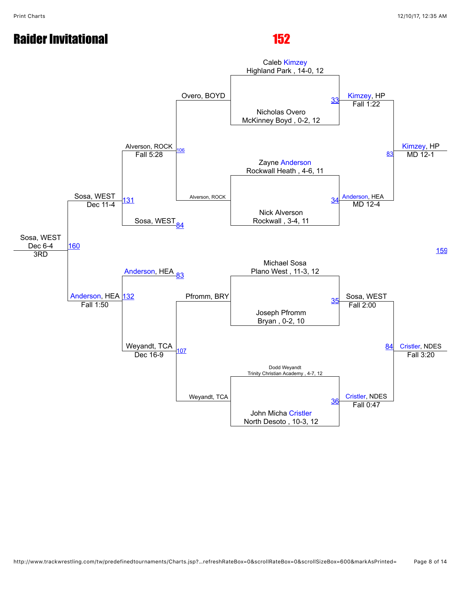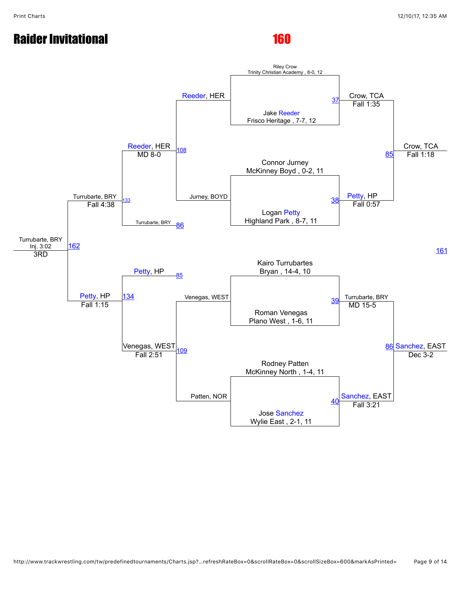# Raider Invitational and the state of the 160

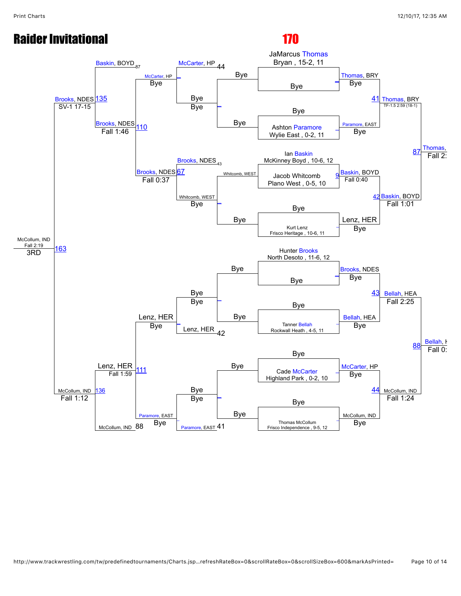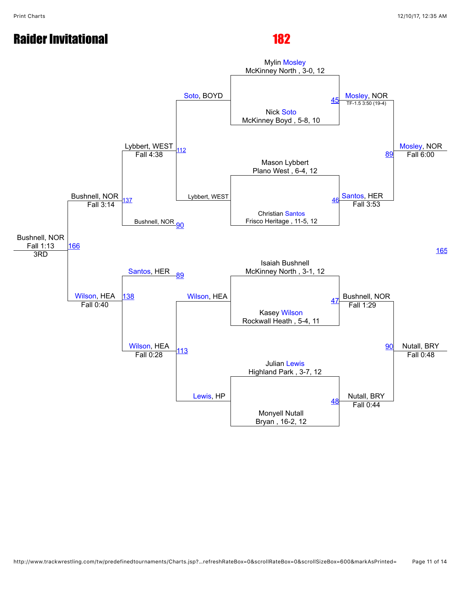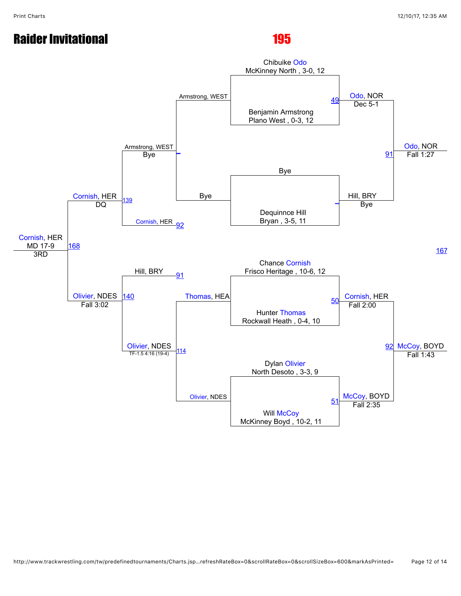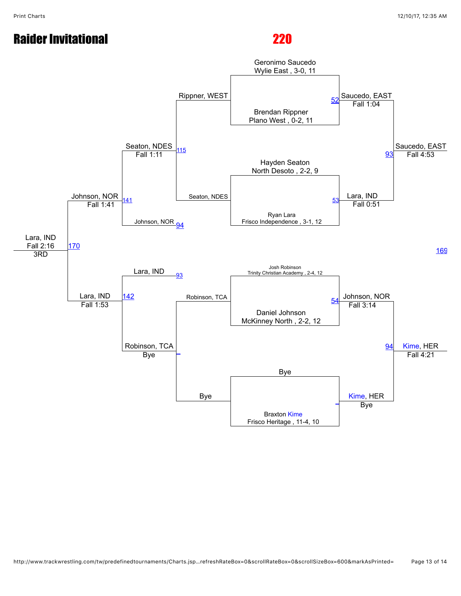